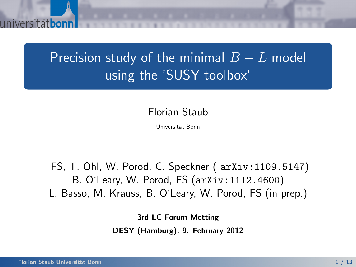

Florian Staub

Universit¨at Bonn

FS, T. Ohl, W. Porod, C. Speckner ( arXiv:1109.5147) B. O'Leary, W. Porod, FS (arXiv:1112.4600) L. Basso, M. Krauss, B. O'Leary, W. Porod, FS (in prep.)

3rd LC Forum Metting

DESY (Hamburg), 9. February 2012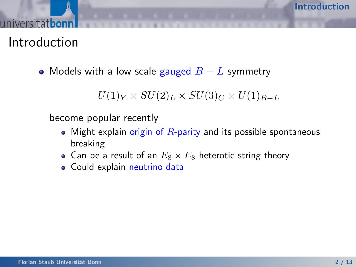Introduction

• Models with a low scale gauged  $B - L$  symmetry

 $U(1)_Y \times SU(2)_L \times SU(3)_C \times U(1)_{B-L}$ 

become popular recently

- Might explain origin of  $R$ -parity and its possible spontaneous breaking
- Can be a result of an  $E_8 \times E_8$  heterotic string theory
- <span id="page-1-0"></span>Could explain neutrino data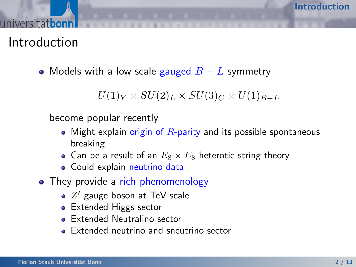Introduction

• Models with a low scale gauged  $B - L$  symmetry

 $U(1)_Y \times SU(2)_L \times SU(3)_C \times U(1)_{B-L}$ 

become popular recently

- Might explain origin of  $R$ -parity and its possible spontaneous breaking
- Can be a result of an  $E_8 \times E_8$  heterotic string theory
- Could explain neutrino data
- They provide a rich phenomenology
	- $Z'$  gauge boson at TeV scale
	- Extended Higgs sector
	- **Extended Neutralino sector**
	- Extended neutrino and sneutrino sector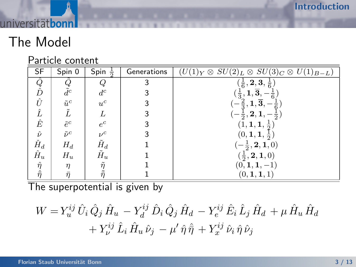# The Model

universität**bonn** 

### Particle content

| <b>SF</b>           | Spin 0          | Spin<br>츻         | Generations | $(U(1)_Y \otimes SU(2)_L \otimes SU(3)_C \otimes U(1)_{B-L})$ |
|---------------------|-----------------|-------------------|-------------|---------------------------------------------------------------|
| $\hat{Q} \ \hat{D}$ |                 |                   | 3           | $(\frac{1}{6},\mathbf{2},\mathbf{3},\frac{1}{6})$             |
|                     | $\tilde{d}^c$   | $d^c$             | 3           | 1, 3,<br>$\frac{1}{3}$ ,                                      |
| Û                   | $\tilde{u}^c$   | $u^c$             | 3           | 1,3,<br>$\overline{2}$ ,                                      |
| Ĺ                   |                 |                   | 3           |                                                               |
| $\hat{E}$           | $\tilde{e}^c$   | $e^c$             | 3           | (1, 1, 1,                                                     |
| $\hat{\nu}$         | $\tilde{\nu}^c$ | $\nu^c$           | 3           | $(0,1,1,\frac{1}{2})$                                         |
| $\hat{H}_d$         | $H_d$           | $H_d$             |             | $-\frac{1}{2}$ , 2, 1, 0)                                     |
| $\hat{H}_u$         | $H_u$           | $\tilde{H}_u$     |             | $(\frac{1}{2}, \mathbf{2}, \mathbf{1}, 0)$                    |
| $\hat{\eta}$        | $\eta$          | $\eta$            |             | (0, 1, 1,<br>$-1$                                             |
| $\dot{\hat{\pi}}$   | $\bar{n}$       | $\tilde{\bar{n}}$ |             | $(0, {\bf 1}, {\bf 1}, 1)$                                    |

The superpotential is given by

$$
W = Y_u^{ij} \hat{U}_i \hat{Q}_j \hat{H}_u - Y_d^{ij} \hat{D}_i \hat{Q}_j \hat{H}_d - Y_e^{ij} \hat{E}_i \hat{L}_j \hat{H}_d + \mu \hat{H}_u \hat{H}_d + Y_\nu^{ij} \hat{L}_i \hat{H}_u \hat{\nu}_j - \mu' \hat{\eta} \hat{\eta} + Y_x^{ij} \hat{\nu}_i \hat{\eta} \hat{\nu}_j
$$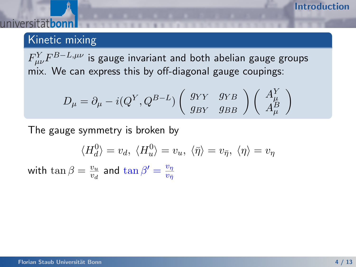## Kinetic mixing

 $F^Y_{\mu\nu}F^{B-L,\mu\nu}$  is gauge invariant and both abelian gauge groups mix. We can express this by off-diagonal gauge coupings:

$$
D_{\mu} = \partial_{\mu} - i(Q^Y, Q^{B-L}) \left( \begin{array}{cc} g_{YY} & g_{YB} \\ g_{BY} & g_{BB} \end{array} \right) \left( \begin{array}{c} A^Y_{\mu} \\ A^B_{\mu} \end{array} \right)
$$

The gauge symmetry is broken by

$$
\langle H_d^0 \rangle = v_d, \ \langle H_u^0 \rangle = v_u, \ \langle \bar{\eta} \rangle = v_{\bar{\eta}}, \ \langle \eta \rangle = v_{\eta}
$$

with  $\tan \beta = \frac{v_u}{v_u}$  $\frac{v_u}{v_d}$  and  $\tan\beta'=\frac{v_\eta}{v_{\bar{\eta}}}$  $v_{\bar{\eta}}$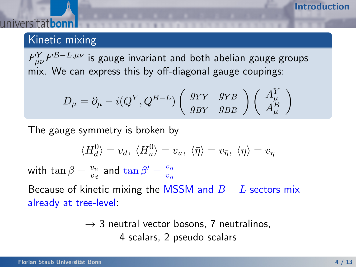## Kinetic mixing

 $F^Y_{\mu\nu}F^{B-L,\mu\nu}$  is gauge invariant and both abelian gauge groups mix. We can express this by off-diagonal gauge coupings:

$$
D_{\mu} = \partial_{\mu} - i(Q^Y, Q^{B-L}) \left( \begin{array}{cc} g_{YY} & g_{YB} \\ g_{BY} & g_{BB} \end{array} \right) \left( \begin{array}{c} A^Y_{\mu} \\ A^B_{\mu} \end{array} \right)
$$

The gauge symmetry is broken by

$$
\langle H_d^0 \rangle = v_d, \ \langle H_u^0 \rangle = v_u, \ \langle \bar{\eta} \rangle = v_{\bar{\eta}}, \ \langle \eta \rangle = v_{\eta}
$$

with  $\tan \beta = \frac{v_u}{v_u}$  $\frac{v_u}{v_d}$  and  $\tan\beta'=\frac{v_\eta}{v_{\bar{\eta}}}$  $v_{\bar{\eta}}$ 

Because of kinetic mixing the MSSM and  $B - L$  sectors mix already at tree-level:

> $\rightarrow$  3 neutral vector bosons, 7 neutralinos, 4 scalars, 2 pseudo scalars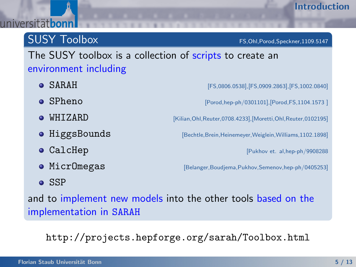## SUSY Toolbox FS,Ohl,Porod,Speckner,1109.5147

## The SUSY toolbox is a collection of scripts to create an environment including

- SARAH  $[FS,0806.0538]$ ,[FS,0909.2863],[FS,1002.0840] ● SPheno [Porod,hep-ph/0301101],[Porod,FS,1104.1573 ]  $\bullet$  WHIZARD [Kilian, Ohl, Reuter, 0708.4233], [Moretti, Ohl, Reuter, 0102195] **• HiggsBounds** [Bechtle, Brein, Heinemeyer, Weiglein, Williams, 1102.1898] **O** CalcHep **[Pukhov et. al,hep-ph/9908288** • MicrOmegas [Belanger,Boudjema,Pukhov,Semenov,hep-ph/0405253]
- $\bullet$  SSP

and to implement new models into the other tools based on the implementation in SARAH

http://projects.hepforge.org/sarah/Toolbox.html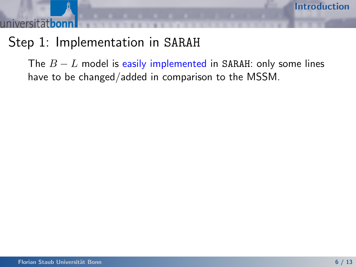# Step 1: Implementation in SARAH

The  $B - L$  model is easily implemented in SARAH: only some lines have to be changed/added in comparison to the MSSM.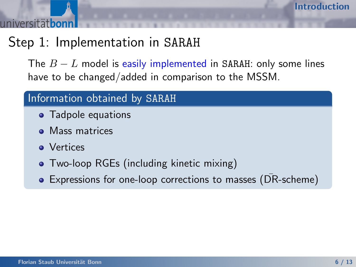# Step 1: Implementation in SARAH

The  $B - L$  model is easily implemented in SARAH: only some lines have to be changed/added in comparison to the MSSM.

## Information obtained by SARAH

- Tadpole equations
- Mass matrices
- Vertices
- Two-loop RGEs (including kinetic mixing)
- Expressions for one-loop corrections to masses (DR-scheme)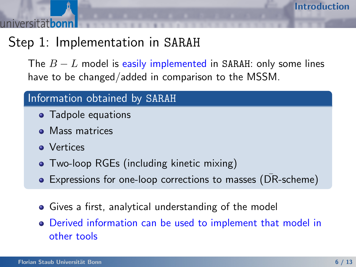# Step 1: Implementation in SARAH

The  $B - L$  model is easily implemented in SARAH: only some lines have to be changed/added in comparison to the MSSM.

## Information obtained by SARAH

- Tadpole equations
- Mass matrices
- Vertices
- Two-loop RGEs (including kinetic mixing)
- Expressions for one-loop corrections to masses (DR-scheme) ¯
- Gives a first, analytical understanding of the model
- Derived information can be used to implement that model in other tools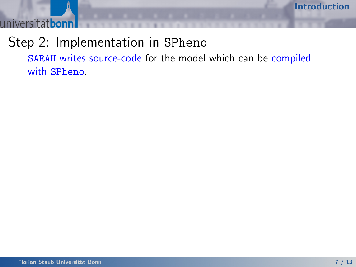universitätbon

# Step 2: Implementation in SPheno

SARAH writes source-code for the model which can be compiled with SPheno.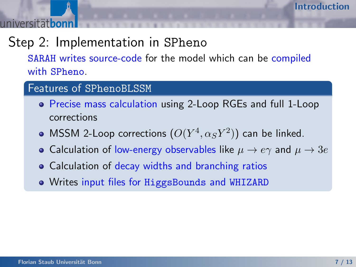# Step 2: Implementation in SPheno

SARAH writes source-code for the model which can be compiled with SPheno.

### Features of SPhenoBLSSM

- Precise mass calculation using 2-Loop RGEs and full 1-Loop corrections
- MSSM 2-Loop corrections  $(O(Y^4,\alpha_S Y^2))$  can be linked.
- Calculation of low-energy observables like  $\mu \to e\gamma$  and  $\mu \to 3e$
- Calculation of decay widths and branching ratios
- Writes input files for HiggsBounds and WHIZARD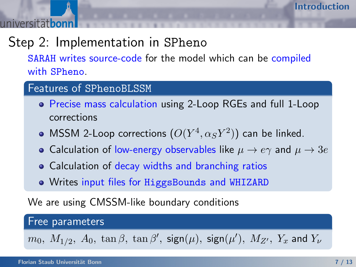# Step 2: Implementation in SPheno

SARAH writes source-code for the model which can be compiled with SPheno.

### Features of SPhenoBLSSM

- Precise mass calculation using 2-Loop RGEs and full 1-Loop corrections
- MSSM 2-Loop corrections  $(O(Y^4,\alpha_S Y^2))$  can be linked.
- Calculation of low-energy observables like  $\mu \to e\gamma$  and  $\mu \to 3e$
- Calculation of decay widths and branching ratios
- Writes input files for HiggsBounds and WHIZARD

We are using CMSSM-like boundary conditions

### Free parameters

 $m_0, \ M_{1/2}, \ A_0, \ \tan\beta, \ \tan\beta', \ \mathsf{sign}(\mu), \ \mathsf{sign}(\mu'), \ M_{Z'}, \ Y_x$  and  $Y_\nu$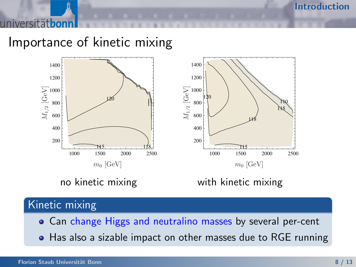[Introduction](#page-1-0)

Importance of kinetic mixing



### Kinetic mixing

- Can change Higgs and neutralino masses by several per-cent
- Has also a sizable impact on other masses due to RGE running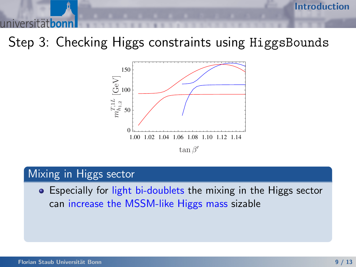Step 3: Checking Higgs constraints using HiggsBounds



## Mixing in Higgs sector

**•** Especially for light bi-doublets the mixing in the Higgs sector can increase the MSSM-like Higgs mass sizable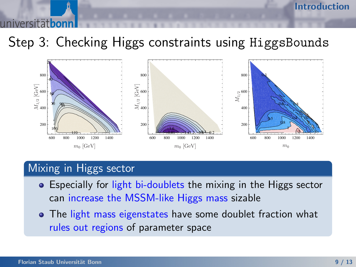Step 3: Checking Higgs constraints using HiggsBounds



## Mixing in Higgs sector

- **•** Especially for light bi-doublets the mixing in the Higgs sector can increase the MSSM-like Higgs mass sizable
- The light mass eigenstates have some doublet fraction what rules out regions of parameter space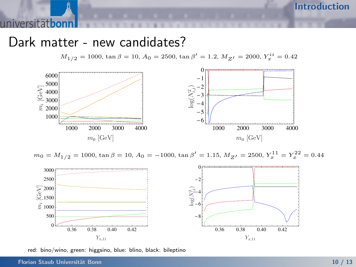## Dark matter - new candidates?

 $M_{1/2} = 1000$ , tan  $\beta = 10$ ,  $A_0 = 2500$ , tan  $\beta' = 1.2$ ,  $M_{Z'} = 2000$ ,  $Y_x^{ii} = 0.42$ 



 $m_0 = M_{1/2} = 1000$ ,  $\tan \beta = 10$ ,  $A_0 = -1000$ ,  $\tan \beta' = 1.15$ ,  $M_{Z'} = 2500$ ,  $Y_x^{11} = Y_x^{22} = 0.44$ 



red: bino/wino, green: higgsino, blue: blino, black: bileptino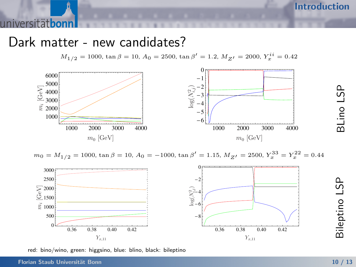## Dark matter - new candidates?

 $M_{1/2} = 1000$ , tan  $\beta = 10$ ,  $A_0 = 2500$ , tan  $\beta' = 1.2$ ,  $M_{Z'} = 2000$ ,  $Y_x^{ii} = 0.42$ 







red: bino/wino, green: higgsino, blue: blino, black: bileptino

Bileptino LSP

BLino LSP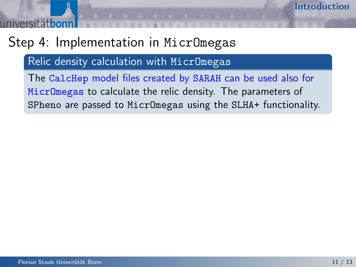# Step 4: Implementation in MicrOmegas

Relic density calculation with MicrOmegas

The CalcHep model files created by SARAH can be used also for MicrOmegas to calculate the relic density. The parameters of SPheno are passed to MicrOmegas using the SLHA+ functionality.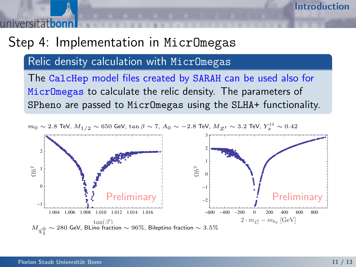# Step 4: Implementation in MicrOmegas

Relic density calculation with MicrOmegas

The CalcHep model files created by SARAH can be used also for MicrOmegas to calculate the relic density. The parameters of SPheno are passed to MicrOmegas using the SLHA+ functionality.

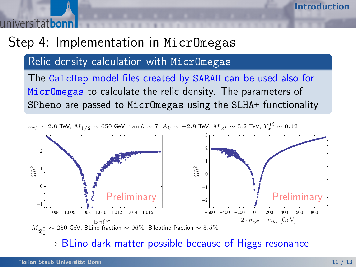# Step 4: Implementation in MicrOmegas

Relic density calculation with MicrOmegas

The CalcHep model files created by SARAH can be used also for MicrOmegas to calculate the relic density. The parameters of SPheno are passed to MicrOmegas using the SLHA+ functionality.



 $\rightarrow$  BLino dark matter possible because of Higgs resonance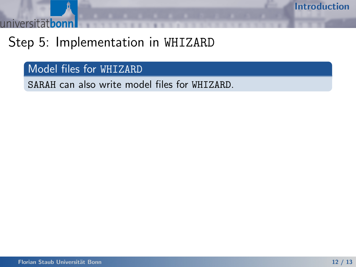**itätbon**  $inivarc$ 

# Step 5: Implementation in WHIZARD

Model files for WHIZARD

SARAH can also write model files for WHIZARD.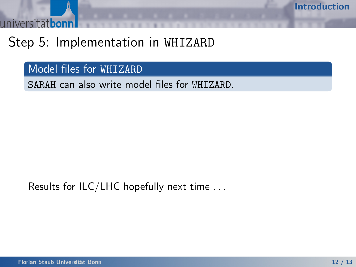# Step 5: Implementation in WHIZARD

Model files for WHIZARD

SARAH can also write model files for WHIZARD.

Results for ILC/LHC hopefully next time . . .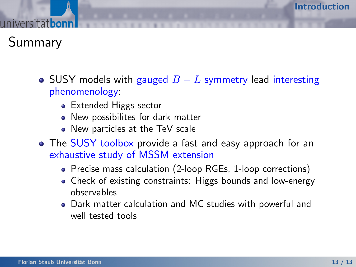Summary

- SUSY models with gauged  $B L$  symmetry lead interesting phenomenology:
	- Extended Higgs sector
	- New possibilites for dark matter
	- New particles at the TeV scale
- The SUSY toolbox provide a fast and easy approach for an exhaustive study of MSSM extension
	- Precise mass calculation (2-loop RGEs, 1-loop corrections)
	- Check of existing constraints: Higgs bounds and low-energy observables
	- Dark matter calculation and MC studies with powerful and well tested tools